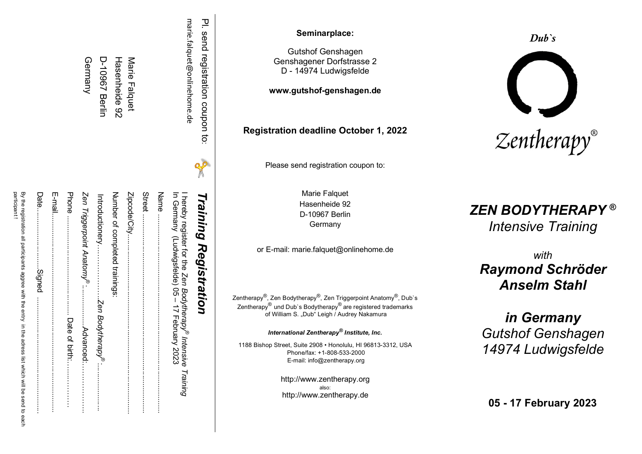|                                  |   | Zenth<br>Zer<br>118                                                                                                           |
|----------------------------------|---|-------------------------------------------------------------------------------------------------------------------------------|
| PI. send registration coupon to: | X | <b>Training Registration</b>                                                                                                  |
| Harie:aldret@onlineporne.de      |   | In Germany (Ludwigsfelde) 05 - 17 February 2023<br>I hereby register for the Ze <i>n Bodytherapy® Inter</i><br>nsive Training |
|                                  |   |                                                                                                                               |
|                                  |   |                                                                                                                               |
| Marie Falquet                    |   |                                                                                                                               |
| Hasenheide 92                    |   | Number of completed trainings:                                                                                                |
| <b>D-10967 Berlin</b>            |   | Introductionery………………Ze <i>n Bodytherapy</i> ".                                                                               |
| Germany                          |   | Zen Triggerpoint Anatomy <sup>®</sup> :<br><b>Advanced</b> :                                                                  |
|                                  |   |                                                                                                                               |
|                                  |   | E-mail                                                                                                                        |
|                                  |   | Date                                                                                                                          |
|                                  |   | participant!<br>By the registration all participants aggree with the entry in the adress list which will be send to each      |

#### **Seminarplace :**

Gutshof Genshagen Genshagener Dorfstrasse 2 D - 14974 Ludwigsfelde

**www.gutshof -genshagen.de**

**Registration deadline October 1, 202 2**

Pleas e send registration coupon to:

Marie Falquet Hasenheide 92 D-10967 Berlin Germany

or E -mail: marie.falquet@onlinehome.de

Zentherapy<sup>®</sup>, Zen Bodytherapy<sup>®</sup>, Zen Triggerpoint Anatomy<sup>®</sup>, Dub`s Zentherapy<sup>®</sup> und Dub`s Bodytherapy<sup>®</sup> are registered trademarks of William S. "Dub" Leigh / Audrey Nakamura

*International Zentherapy® Institute, Inc.*

1188 Bishop Street , Suite 2908 • Honolulu, HI 96813 -3312 , USA Phone/fax: +1 -808 -533 -2000 E -mail: info@zentherapy.org

> http://www.zentherapy.org also : http://www.zentherapy.de





## *ZEN BODYTHERAPY* **®**

*Intensive Training*

*with Raymond Schröder Anselm Stahl*

*in Germany Gutshof Genshagen 14974 Ludwigsfelde*

**05 - 17 February 202 3**